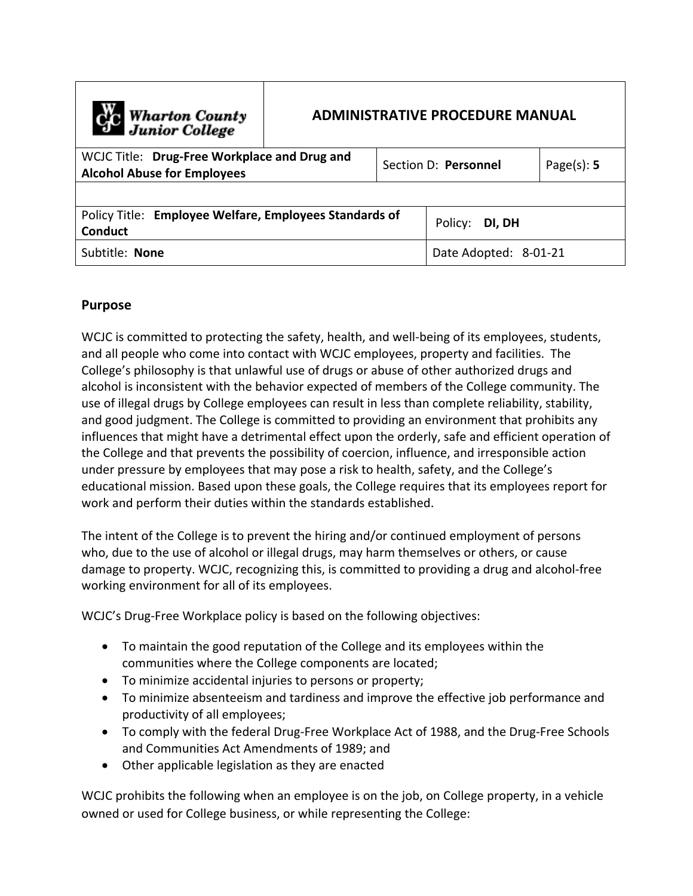| C <sub>1</sub> C Wharton County<br>Junior College                                  | <b>ADMINISTRATIVE PROCEDURE MANUAL</b> |                      |                       |                |
|------------------------------------------------------------------------------------|----------------------------------------|----------------------|-----------------------|----------------|
| WCJC Title: Drug-Free Workplace and Drug and<br><b>Alcohol Abuse for Employees</b> |                                        | Section D: Personnel |                       | Page $(s)$ : 5 |
|                                                                                    |                                        |                      |                       |                |
| Policy Title: Employee Welfare, Employees Standards of<br><b>Conduct</b>           |                                        |                      | Policy: DI, DH        |                |
| Subtitle: None                                                                     |                                        |                      | Date Adopted: 8-01-21 |                |

### **Purpose**

WCJC is committed to protecting the safety, health, and well-being of its employees, students, and all people who come into contact with WCJC employees, property and facilities. The College's philosophy is that unlawful use of drugs or abuse of other authorized drugs and alcohol is inconsistent with the behavior expected of members of the College community. The use of illegal drugs by College employees can result in less than complete reliability, stability, and good judgment. The College is committed to providing an environment that prohibits any influences that might have a detrimental effect upon the orderly, safe and efficient operation of the College and that prevents the possibility of coercion, influence, and irresponsible action under pressure by employees that may pose a risk to health, safety, and the College's educational mission. Based upon these goals, the College requires that its employees report for work and perform their duties within the standards established.

The intent of the College is to prevent the hiring and/or continued employment of persons who, due to the use of alcohol or illegal drugs, may harm themselves or others, or cause damage to property. WCJC, recognizing this, is committed to providing a drug and alcohol-free working environment for all of its employees.

WCJC's Drug-Free Workplace policy is based on the following objectives:

- To maintain the good reputation of the College and its employees within the communities where the College components are located;
- To minimize accidental injuries to persons or property;
- To minimize absenteeism and tardiness and improve the effective job performance and productivity of all employees;
- To comply with the federal Drug-Free Workplace Act of 1988, and the Drug-Free Schools and Communities Act Amendments of 1989; and
- Other applicable legislation as they are enacted

WCJC prohibits the following when an employee is on the job, on College property, in a vehicle owned or used for College business, or while representing the College: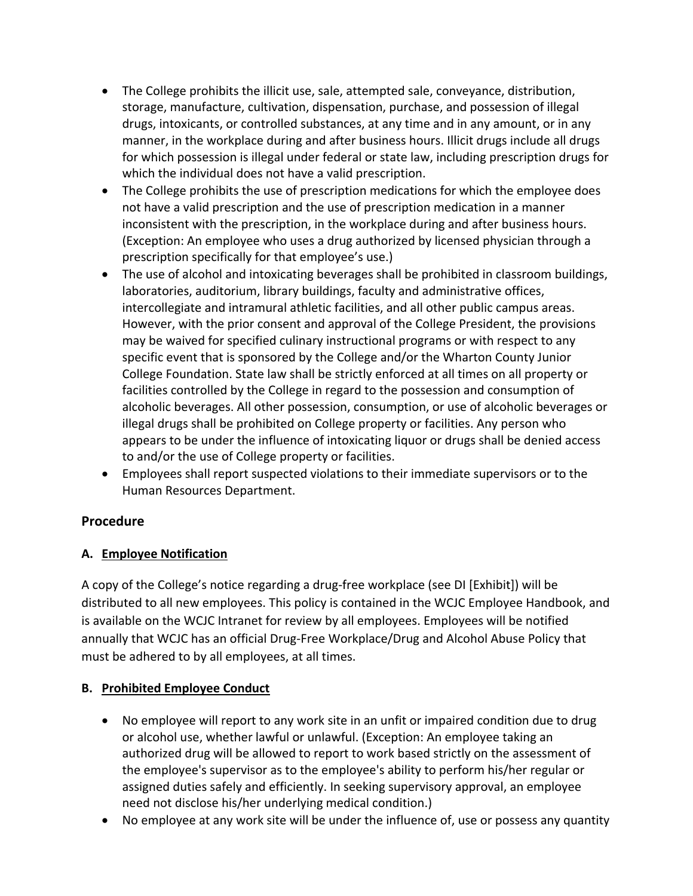- The College prohibits the illicit use, sale, attempted sale, conveyance, distribution, storage, manufacture, cultivation, dispensation, purchase, and possession of illegal drugs, intoxicants, or controlled substances, at any time and in any amount, or in any manner, in the workplace during and after business hours. Illicit drugs include all drugs for which possession is illegal under federal or state law, including prescription drugs for which the individual does not have a valid prescription.
- The College prohibits the use of prescription medications for which the employee does not have a valid prescription and the use of prescription medication in a manner inconsistent with the prescription, in the workplace during and after business hours. (Exception: An employee who uses a drug authorized by licensed physician through a prescription specifically for that employee's use.)
- The use of alcohol and intoxicating beverages shall be prohibited in classroom buildings, laboratories, auditorium, library buildings, faculty and administrative offices, intercollegiate and intramural athletic facilities, and all other public campus areas. However, with the prior consent and approval of the College President, the provisions may be waived for specified culinary instructional programs or with respect to any specific event that is sponsored by the College and/or the Wharton County Junior College Foundation. State law shall be strictly enforced at all times on all property or facilities controlled by the College in regard to the possession and consumption of alcoholic beverages. All other possession, consumption, or use of alcoholic beverages or illegal drugs shall be prohibited on College property or facilities. Any person who appears to be under the influence of intoxicating liquor or drugs shall be denied access to and/or the use of College property or facilities.
- Employees shall report suspected violations to their immediate supervisors or to the Human Resources Department.

## **Procedure**

# **A. Employee Notification**

A copy of the College's notice regarding a drug-free workplace (see DI [Exhibit]) will be distributed to all new employees. This policy is contained in the WCJC Employee Handbook, and is available on the WCJC Intranet for review by all employees. Employees will be notified annually that WCJC has an official Drug-Free Workplace/Drug and Alcohol Abuse Policy that must be adhered to by all employees, at all times.

# **B. Prohibited Employee Conduct**

- No employee will report to any work site in an unfit or impaired condition due to drug or alcohol use, whether lawful or unlawful. (Exception: An employee taking an authorized drug will be allowed to report to work based strictly on the assessment of the employee's supervisor as to the employee's ability to perform his/her regular or assigned duties safely and efficiently. In seeking supervisory approval, an employee need not disclose his/her underlying medical condition.)
- No employee at any work site will be under the influence of, use or possess any quantity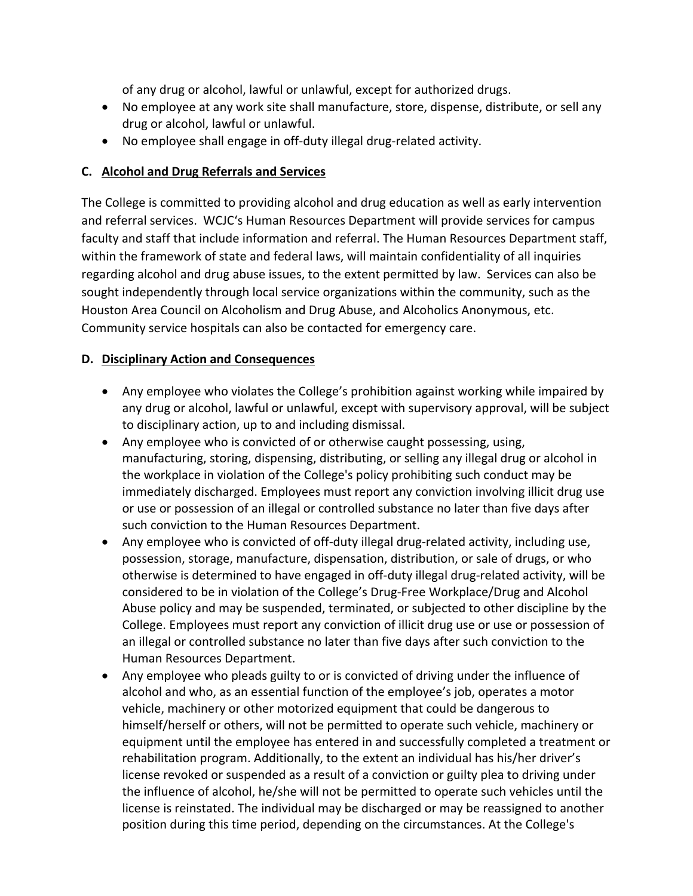of any drug or alcohol, lawful or unlawful, except for authorized drugs.

- No employee at any work site shall manufacture, store, dispense, distribute, or sell any drug or alcohol, lawful or unlawful.
- No employee shall engage in off-duty illegal drug-related activity.

### **C. Alcohol and Drug Referrals and Services**

The College is committed to providing alcohol and drug education as well as early intervention and referral services. WCJC's Human Resources Department will provide services for campus faculty and staff that include information and referral. The Human Resources Department staff, within the framework of state and federal laws, will maintain confidentiality of all inquiries regarding alcohol and drug abuse issues, to the extent permitted by law. Services can also be sought independently through local service organizations within the community, such as the Houston Area Council on Alcoholism and Drug Abuse, and Alcoholics Anonymous, etc. Community service hospitals can also be contacted for emergency care.

### **D. Disciplinary Action and Consequences**

- Any employee who violates the College's prohibition against working while impaired by any drug or alcohol, lawful or unlawful, except with supervisory approval, will be subject to disciplinary action, up to and including dismissal.
- Any employee who is convicted of or otherwise caught possessing, using, manufacturing, storing, dispensing, distributing, or selling any illegal drug or alcohol in the workplace in violation of the College's policy prohibiting such conduct may be immediately discharged. Employees must report any conviction involving illicit drug use or use or possession of an illegal or controlled substance no later than five days after such conviction to the Human Resources Department.
- Any employee who is convicted of off-duty illegal drug-related activity, including use, possession, storage, manufacture, dispensation, distribution, or sale of drugs, or who otherwise is determined to have engaged in off-duty illegal drug-related activity, will be considered to be in violation of the College's Drug-Free Workplace/Drug and Alcohol Abuse policy and may be suspended, terminated, or subjected to other discipline by the College. Employees must report any conviction of illicit drug use or use or possession of an illegal or controlled substance no later than five days after such conviction to the Human Resources Department.
- Any employee who pleads guilty to or is convicted of driving under the influence of alcohol and who, as an essential function of the employee's job, operates a motor vehicle, machinery or other motorized equipment that could be dangerous to himself/herself or others, will not be permitted to operate such vehicle, machinery or equipment until the employee has entered in and successfully completed a treatment or rehabilitation program. Additionally, to the extent an individual has his/her driver's license revoked or suspended as a result of a conviction or guilty plea to driving under the influence of alcohol, he/she will not be permitted to operate such vehicles until the license is reinstated. The individual may be discharged or may be reassigned to another position during this time period, depending on the circumstances. At the College's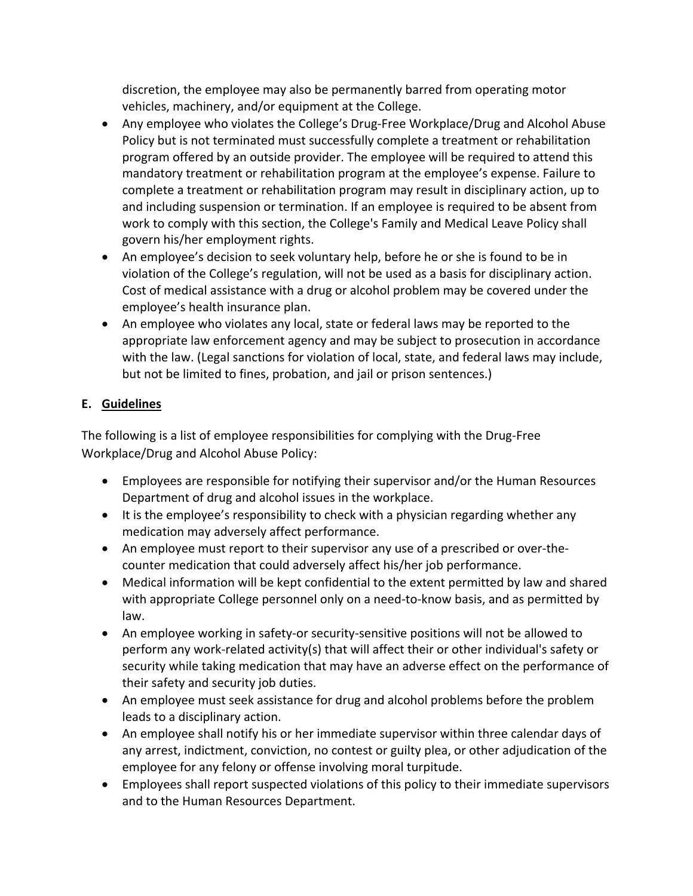discretion, the employee may also be permanently barred from operating motor vehicles, machinery, and/or equipment at the College.

- Any employee who violates the College's Drug-Free Workplace/Drug and Alcohol Abuse Policy but is not terminated must successfully complete a treatment or rehabilitation program offered by an outside provider. The employee will be required to attend this mandatory treatment or rehabilitation program at the employee's expense. Failure to complete a treatment or rehabilitation program may result in disciplinary action, up to and including suspension or termination. If an employee is required to be absent from work to comply with this section, the College's Family and Medical Leave Policy shall govern his/her employment rights.
- An employee's decision to seek voluntary help, before he or she is found to be in violation of the College's regulation, will not be used as a basis for disciplinary action. Cost of medical assistance with a drug or alcohol problem may be covered under the employee's health insurance plan.
- An employee who violates any local, state or federal laws may be reported to the appropriate law enforcement agency and may be subject to prosecution in accordance with the law. (Legal sanctions for violation of local, state, and federal laws may include, but not be limited to fines, probation, and jail or prison sentences.)

## **E. Guidelines**

The following is a list of employee responsibilities for complying with the Drug-Free Workplace/Drug and Alcohol Abuse Policy:

- Employees are responsible for notifying their supervisor and/or the Human Resources Department of drug and alcohol issues in the workplace.
- It is the employee's responsibility to check with a physician regarding whether any medication may adversely affect performance.
- An employee must report to their supervisor any use of a prescribed or over-thecounter medication that could adversely affect his/her job performance.
- Medical information will be kept confidential to the extent permitted by law and shared with appropriate College personnel only on a need-to-know basis, and as permitted by law.
- An employee working in safety-or security-sensitive positions will not be allowed to perform any work-related activity(s) that will affect their or other individual's safety or security while taking medication that may have an adverse effect on the performance of their safety and security job duties.
- An employee must seek assistance for drug and alcohol problems before the problem leads to a disciplinary action.
- An employee shall notify his or her immediate supervisor within three calendar days of any arrest, indictment, conviction, no contest or guilty plea, or other adjudication of the employee for any felony or offense involving moral turpitude.
- Employees shall report suspected violations of this policy to their immediate supervisors and to the Human Resources Department.